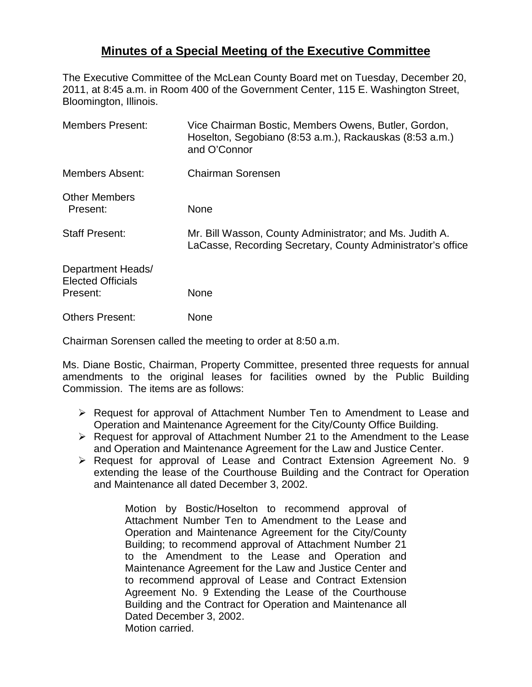## **Minutes of a Special Meeting of the Executive Committee**

The Executive Committee of the McLean County Board met on Tuesday, December 20, 2011, at 8:45 a.m. in Room 400 of the Government Center, 115 E. Washington Street, Bloomington, Illinois.

| Vice Chairman Bostic, Members Owens, Butler, Gordon,<br>Hoselton, Segobiano (8:53 a.m.), Rackauskas (8:53 a.m.)<br>and O'Connor |
|---------------------------------------------------------------------------------------------------------------------------------|
| <b>Chairman Sorensen</b>                                                                                                        |
| None                                                                                                                            |
| Mr. Bill Wasson, County Administrator; and Ms. Judith A.<br>LaCasse, Recording Secretary, County Administrator's office         |
|                                                                                                                                 |
| None                                                                                                                            |
| None                                                                                                                            |
|                                                                                                                                 |

Chairman Sorensen called the meeting to order at 8:50 a.m.

Ms. Diane Bostic, Chairman, Property Committee, presented three requests for annual amendments to the original leases for facilities owned by the Public Building Commission. The items are as follows:

- Request for approval of Attachment Number Ten to Amendment to Lease and Operation and Maintenance Agreement for the City/County Office Building.
- $\triangleright$  Request for approval of Attachment Number 21 to the Amendment to the Lease and Operation and Maintenance Agreement for the Law and Justice Center.
- ▶ Request for approval of Lease and Contract Extension Agreement No. 9 extending the lease of the Courthouse Building and the Contract for Operation and Maintenance all dated December 3, 2002.

Motion by Bostic/Hoselton to recommend approval of Attachment Number Ten to Amendment to the Lease and Operation and Maintenance Agreement for the City/County Building; to recommend approval of Attachment Number 21 to the Amendment to the Lease and Operation and Maintenance Agreement for the Law and Justice Center and to recommend approval of Lease and Contract Extension Agreement No. 9 Extending the Lease of the Courthouse Building and the Contract for Operation and Maintenance all Dated December 3, 2002. Motion carried.